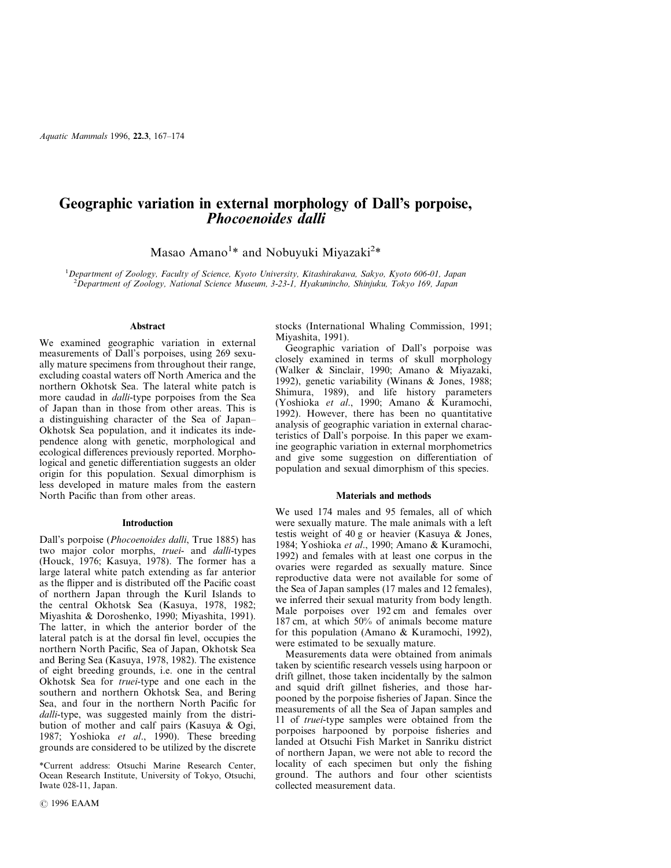# **Geographic variation in external morphology of Dall's porpoise,** *Phocoenoides dalli*

Masao Amano<sup>1\*</sup> and Nobuyuki Miyazaki<sup>2\*</sup>

1 *Department of Zoology, Faculty of Science, Kyoto University, Kitashirakawa, Sakyo, Kyoto 606-01, Japan* 2 *Department of Zoology, National Science Museum, 3-23-1, Hyakunincho, Shinjuku, Tokyo 169, Japan*

# **Abstract**

We examined geographic variation in external measurements of Dall's porpoises, using 269 sexually mature specimens from throughout their range, excluding coastal waters off North America and the northern Okhotsk Sea. The lateral white patch is more caudad in *dalli*-type porpoises from the Sea of Japan than in those from other areas. This is a distinguishing character of the Sea of Japan– Okhotsk Sea population, and it indicates its independence along with genetic, morphological and ecological differences previously reported. Morphological and genetic differentiation suggests an older origin for this population. Sexual dimorphism is less developed in mature males from the eastern North Pacific than from other areas.

#### **Introduction**

Dall's porpoise (*Phocoenoides dalli*, True 1885) has two major color morphs, *truei*- and *dalli*-types (Houck, 1976; Kasuya, 1978). The former has a large lateral white patch extending as far anterior as the flipper and is distributed off the Pacific coast of northern Japan through the Kuril Islands to the central Okhotsk Sea (Kasuya, 1978, 1982; Miyashita & Doroshenko, 1990; Miyashita, 1991). The latter, in which the anterior border of the lateral patch is at the dorsal fin level, occupies the northern North Pacific, Sea of Japan, Okhotsk Sea and Bering Sea (Kasuya, 1978, 1982). The existence of eight breeding grounds, i.e. one in the central Okhotsk Sea for *truei*-type and one each in the southern and northern Okhotsk Sea, and Bering Sea, and four in the northern North Pacific for *dalli*-type, was suggested mainly from the distribution of mother and calf pairs (Kasuya & Ogi, 1987; Yoshioka *et al*., 1990). These breeding grounds are considered to be utilized by the discrete

\*Current address: Otsuchi Marine Research Center, Ocean Research Institute, University of Tokyo, Otsuchi, Iwate 028-11, Japan.

1996 EAAM

stocks (International Whaling Commission, 1991; Miyashita, 1991).

Geographic variation of Dall's porpoise was closely examined in terms of skull morphology (Walker & Sinclair, 1990; Amano & Miyazaki, 1992), genetic variability (Winans & Jones, 1988; Shimura, 1989), and life history parameters (Yoshioka *et al*., 1990; Amano & Kuramochi, 1992). However, there has been no quantitative analysis of geographic variation in external characteristics of Dall's porpoise. In this paper we examine geographic variation in external morphometrics and give some suggestion on differentiation of population and sexual dimorphism of this species.

#### **Materials and methods**

We used 174 males and 95 females, all of which were sexually mature. The male animals with a left testis weight of 40 g or heavier (Kasuya & Jones, 1984; Yoshioka *et al*., 1990; Amano & Kuramochi, 1992) and females with at least one corpus in the ovaries were regarded as sexually mature. Since reproductive data were not available for some of the Sea of Japan samples (17 males and 12 females), we inferred their sexual maturity from body length. Male porpoises over 192 cm and females over 187 cm, at which 50% of animals become mature for this population (Amano & Kuramochi, 1992), were estimated to be sexually mature.

Measurements data were obtained from animals taken by scientific research vessels using harpoon or drift gillnet, those taken incidentally by the salmon and squid drift gillnet fisheries, and those harpooned by the porpoise fisheries of Japan. Since the measurements of all the Sea of Japan samples and 11 of *truei*-type samples were obtained from the porpoises harpooned by porpoise fisheries and landed at Otsuchi Fish Market in Sanriku district of northern Japan, we were not able to record the locality of each specimen but only the fishing ground. The authors and four other scientists collected measurement data.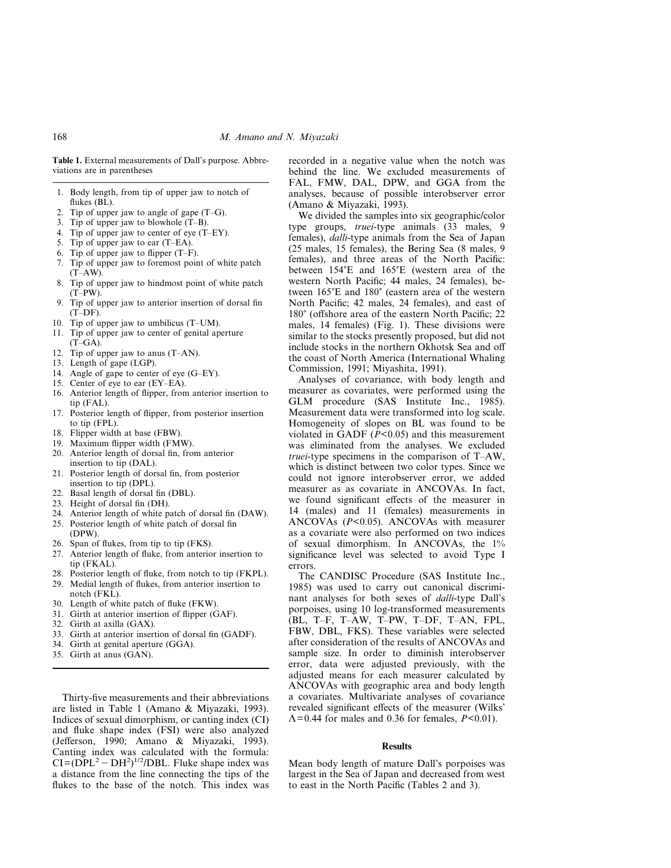# 168 *M. Amano and N. Miyazaki*

**Table 1.** External measurements of Dall's purpose. Abbreviations are in parentheses

- 1. Body length, from tip of upper jaw to notch of flukes (BL).
- 2. Tip of upper jaw to angle of gape (T–G).
- 3. Tip of upper jaw to blowhole (T–B).
- 4. Tip of upper jaw to center of eye (T–EY).
- 5. Tip of upper jaw to ear (T–EA).
- 6. Tip of upper jaw to flipper (T–F).
- 7. Tip of upper jaw to foremost point of white patch  $(T–AW)$ .
- 8. Tip of upper jaw to hindmost point of white patch  $(T-PW)$ .
- 9. Tip of upper jaw to anterior insertion of dorsal fin  $(T-DF)$ .
- 10. Tip of upper jaw to umbilicus (T–UM).
- 11. Tip of upper jaw to center of genital aperture  $(T–GA)$ .
- 12. Tip of upper jaw to anus (T–AN).
- 13. Length of gape (LGP).
- 14. Angle of gape to center of eye (G–EY).
- 15. Center of eye to ear (EY–EA).
- 16. Anterior length of flipper, from anterior insertion to tip (FAL).
- 17. Posterior length of flipper, from posterior insertion to tip (FPL).
- 18. Flipper width at base (FBW).
- 19. Maximum flipper width (FMW).
- 20. Anterior length of dorsal fin, from anterior insertion to tip (DAL).
- 21. Posterior length of dorsal fin, from posterior insertion to tip (DPL).
- 22. Basal length of dorsal fin (DBL).
- 23. Height of dorsal fin (DH).
- 24. Anterior length of white patch of dorsal fin (DAW).
- 25. Posterior length of white patch of dorsal fin (DPW).
- 
- 26. Span of flukes, from tip to tip (FKS).<br>27. Anterior length of fluke, from anterior Anterior length of fluke, from anterior insertion to tip (FKAL).
- 28. Posterior length of fluke, from notch to tip (FKPL). 29. Medial length of flukes, from anterior insertion to notch (FKL).
- 30. Length of white patch of fluke (FKW).
- 31. Girth at anterior insertion of flipper (GAF).
- 32. Girth at axilla (GAX).
- 33. Girth at anterior insertion of dorsal fin (GADF).
- 34. Girth at genital aperture (GGA).
- 35. Girth at anus (GAN).

Thirty-five measurements and their abbreviations are listed in Table 1 (Amano & Miyazaki, 1993). Indices of sexual dimorphism, or canting index (CI) and fluke shape index (FSI) were also analyzed (Jefferson, 1990; Amano & Miyazaki, 1993). Canting index was calculated with the formula:  $CI = (DPL<sup>2</sup> – DH<sup>2</sup>)<sup>1/2</sup>/DBL$ . Fluke shape index was a distance from the line connecting the tips of the flukes to the base of the notch. This index was recorded in a negative value when the notch was behind the line. We excluded measurements of FAL, FMW, DAL, DPW, and GGA from the analyses, because of possible interobserver error (Amano & Miyazaki, 1993).

We divided the samples into six geographic/color type groups, *truei*-type animals (33 males, 9 females), *dalli*-type animals from the Sea of Japan (25 males, 15 females), the Bering Sea (8 males, 9 females), and three areas of the North Pacific: between 154°E and 165°E (western area of the western North Pacific; 44 males, 24 females), between 165°E and 180° (eastern area of the western North Pacific; 42 males, 24 females), and east of 180° (offshore area of the eastern North Pacific; 22 males, 14 females) (Fig. 1). These divisions were similar to the stocks presently proposed, but did not include stocks in the northern Okhotsk Sea and off the coast of North America (International Whaling Commission, 1991; Miyashita, 1991).

Analyses of covariance, with body length and measurer as covariates, were performed using the GLM procedure (SAS Institute Inc., 1985). Measurement data were transformed into log scale. Homogeneity of slopes on BL was found to be violated in GADF (*P*<0.05) and this measurement was eliminated from the analyses. We excluded *truei*-type specimens in the comparison of T–AW, which is distinct between two color types. Since we could not ignore interobserver error, we added measurer as as covariate in ANCOVAs. In fact, we found significant effects of the measurer in 14 (males) and 11 (females) measurements in ANCOVAs (*P*<0.05). ANCOVAs with measurer as a covariate were also performed on two indices of sexual dimorphism. In ANCOVAs, the 1% significance level was selected to avoid Type I errors.

The CANDISC Procedure (SAS Institute Inc., 1985) was used to carry out canonical discriminant analyses for both sexes of *dalli*-type Dall's porpoises, using 10 log-transformed measurements (BL, T–F, T–AW, T–PW, T–DF, T–AN, FPL, FBW, DBL, FKS). These variables were selected after consideration of the results of ANCOVAs and sample size. In order to diminish interobserver error, data were adjusted previously, with the adjusted means for each measurer calculated by ANCOVAs with geographic area and body length a covariates. Multivariate analyses of covariance revealed significant effects of the measurer (Wilks'  $\Lambda$ =0.44 for males and 0.36 for females, *P*<0.01).

### **Results**

Mean body length of mature Dall's porpoises was largest in the Sea of Japan and decreased from west to east in the North Pacific (Tables 2 and 3).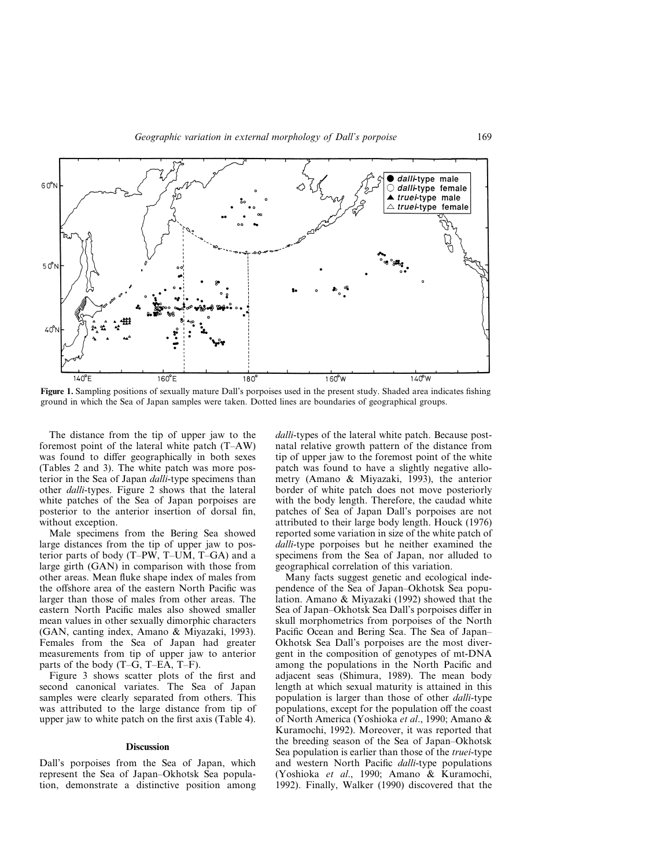

**Figure 1.** Sampling positions of sexually mature Dall's porpoises used in the present study. Shaded area indicates fishing ground in which the Sea of Japan samples were taken. Dotted lines are boundaries of geographical groups.

The distance from the tip of upper jaw to the foremost point of the lateral white patch (T–AW) was found to differ geographically in both sexes (Tables 2 and 3). The white patch was more posterior in the Sea of Japan *dalli*-type specimens than other *dalli*-types. Figure 2 shows that the lateral white patches of the Sea of Japan porpoises are posterior to the anterior insertion of dorsal fin, without exception.

Male specimens from the Bering Sea showed large distances from the tip of upper jaw to posterior parts of body (T–PW, T–UM, T–GA) and a large girth (GAN) in comparison with those from other areas. Mean fluke shape index of males from the offshore area of the eastern North Pacific was larger than those of males from other areas. The eastern North Pacific males also showed smaller mean values in other sexually dimorphic characters (GAN, canting index, Amano & Miyazaki, 1993). Females from the Sea of Japan had greater measurements from tip of upper jaw to anterior parts of the body (T–G, T–EA, T–F).

Figure 3 shows scatter plots of the first and second canonical variates. The Sea of Japan samples were clearly separated from others. This was attributed to the large distance from tip of upper jaw to white patch on the first axis (Table 4).

### **Discussion**

Dall's porpoises from the Sea of Japan, which represent the Sea of Japan–Okhotsk Sea population, demonstrate a distinctive position among *dalli*-types of the lateral white patch. Because postnatal relative growth pattern of the distance from tip of upper jaw to the foremost point of the white patch was found to have a slightly negative allometry (Amano & Miyazaki, 1993), the anterior border of white patch does not move posteriorly with the body length. Therefore, the caudad white patches of Sea of Japan Dall's porpoises are not attributed to their large body length. Houck (1976) reported some variation in size of the white patch of *dalli*-type porpoises but he neither examined the specimens from the Sea of Japan, nor alluded to geographical correlation of this variation.

Many facts suggest genetic and ecological independence of the Sea of Japan–Okhotsk Sea population. Amano & Miyazaki (1992) showed that the Sea of Japan–Okhotsk Sea Dall's porpoises differ in skull morphometrics from porpoises of the North Pacific Ocean and Bering Sea. The Sea of Japan– Okhotsk Sea Dall's porpoises are the most divergent in the composition of genotypes of mt-DNA among the populations in the North Pacific and adjacent seas (Shimura, 1989). The mean body length at which sexual maturity is attained in this population is larger than those of other *dalli*-type populations, except for the population off the coast of North America (Yoshioka *et al*., 1990; Amano & Kuramochi, 1992). Moreover, it was reported that the breeding season of the Sea of Japan–Okhotsk Sea population is earlier than those of the *truei*-type and western North Pacific *dalli*-type populations (Yoshioka *et al*., 1990; Amano & Kuramochi, 1992). Finally, Walker (1990) discovered that the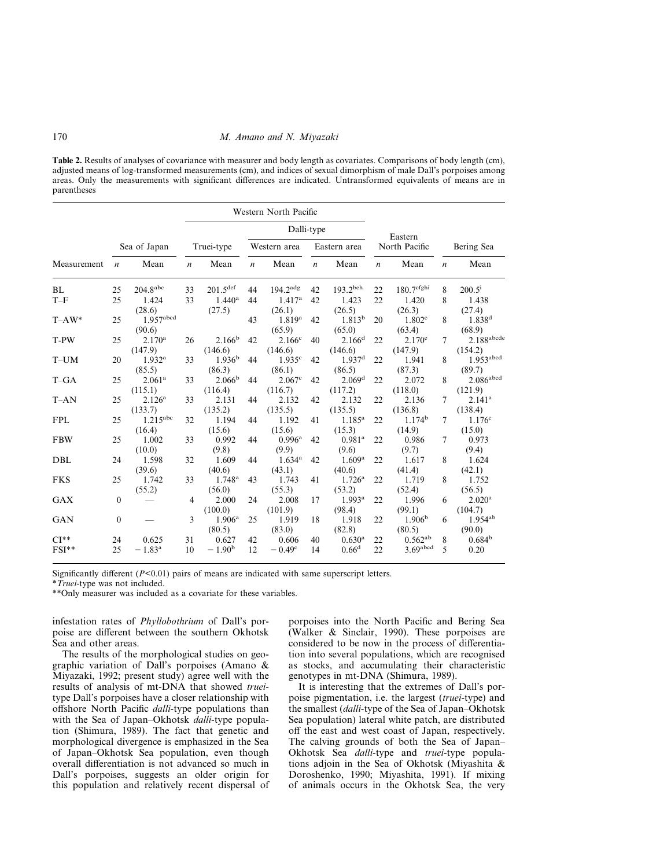## 170 *M. Amano and N. Miyazaki*

**Table 2.** Results of analyses of covariance with measurer and body length as covariates. Comparisons of body length (cm), adjusted means of log-transformed measurements (cm), and indices of sexual dimorphism of male Dall's porpoises among areas. Only the measurements with significant differences are indicated. Untransformed equivalents of means are in parentheses

|             |                  |                        | Western North Pacific |                        |                  |                        |                  |                      |                  |                     |                  |                    |  |
|-------------|------------------|------------------------|-----------------------|------------------------|------------------|------------------------|------------------|----------------------|------------------|---------------------|------------------|--------------------|--|
|             |                  |                        |                       |                        | Dalli-type       |                        |                  |                      |                  | Eastern             |                  |                    |  |
|             | Sea of Japan     |                        | Truei-type            |                        | Western area     |                        | Eastern area     |                      | North Pacific    |                     | Bering Sea       |                    |  |
| Measurement | $\boldsymbol{n}$ | Mean                   | $\boldsymbol{n}$      | Mean                   | $\boldsymbol{n}$ | Mean                   | $\boldsymbol{n}$ | Mean                 | $\boldsymbol{n}$ | Mean                | $\boldsymbol{n}$ | Mean               |  |
| BL          | 25               | $204.8$ <sup>abc</sup> | 33                    | $201.5$ <sup>def</sup> | 44               | $194.2$ <sup>adg</sup> | 42               | $193.2^{\text{beh}}$ | 22               | $180.7^{\rm cfghi}$ | 8                | $200.5^{i}$        |  |
| $T-F$       | 25               | 1.424                  | 33                    | $1.440^{\rm a}$        | 44               | 1.417 <sup>a</sup>     | 42               | 1.423                | 22               | 1.420               | 8                | 1.438              |  |
|             |                  | (28.6)                 |                       | (27.5)                 |                  | (26.1)                 |                  | (26.5)               |                  | (26.3)              |                  | (27.4)             |  |
| $T-AW^*$    | 25               | $1.957$ abcd           |                       |                        | 43               | $1.819^{a}$            | 42               | $1.813^{b}$          | 20               | 1.802 <sup>c</sup>  | 8                | 1.838 <sup>d</sup> |  |
|             |                  | (90.6)                 |                       |                        |                  | (65.9)                 |                  | (65.0)               |                  | (63.4)              |                  | (68.9)             |  |
| T-PW        | 25               | $2.170^{\rm a}$        | 26                    | 2.166 <sup>b</sup>     | 42               | 2.166c                 | 40               | 2.166 <sup>d</sup>   | 22               | $2.170^{\circ}$     | 7                | 2.188abcde         |  |
|             |                  | (147.9)                |                       | (146.6)                |                  | (146.6)                |                  | (146.6)              |                  | (147.9)             |                  | (154.2)            |  |
| $T-UM$      | 20               | $1.932^{\rm a}$        | 33                    | $1.936^{\rm b}$        | 44               | $1.935$ <sup>c</sup>   | 42               | $1.937$ <sup>d</sup> | 22               | 1.941               | 8                | $1.953$ abcd       |  |
|             |                  | (85.5)                 |                       | (86.3)                 |                  | (86.1)                 |                  | (86.5)               |                  | (87.3)              |                  | (89.7)             |  |
| $T-GA$      | 25               | 2.061 <sup>a</sup>     | 33                    | 2.066 <sup>b</sup>     | 44               | $2.067$ <sup>c</sup>   | 42               | 2.069 <sup>d</sup>   | 22               | 2.072               | 8                | $2.086$ abcd       |  |
|             |                  | (115.1)                |                       | (116.4)                |                  | (116.7)                |                  | (117.2)              |                  | (118.0)             |                  | (121.9)            |  |
| $T - AN$    | 25               | $2.126^{\rm a}$        | 33                    | 2.131                  | 44               | 2.132                  | 42               | 2.132                | 22               | 2.136               | 7                | $2.141^{a}$        |  |
|             |                  | (133.7)                |                       | (135.2)                |                  | (135.5)                |                  | (135.5)              |                  | (136.8)             |                  | (138.4)            |  |
| <b>FPL</b>  | 25               | $1.215$ <sup>abc</sup> | 32                    | 1.194                  | 44               | 1.192                  | 41               | $1.185^{\rm a}$      | 22               | 1.174 <sup>b</sup>  | 7                | $1.176^c$          |  |
|             |                  | (16.4)                 |                       | (15.6)                 |                  | (15.6)                 |                  | (15.3)               |                  | (14.9)              |                  | (15.0)             |  |
| <b>FBW</b>  | 25               | 1.002                  | 33                    | 0.992                  | 44               | $0.996^{\rm a}$        | 42               | $0.981$ <sup>a</sup> | 22               | 0.986               | 7                | 0.973              |  |
|             |                  | (10.0)                 |                       | (9.8)                  |                  | (9.9)                  |                  | (9.6)                |                  | (9.7)               |                  | (9.4)              |  |
| <b>DBL</b>  | 24               | 1.598                  | 32                    | 1.609                  | 44               | $1.634^{\rm a}$        | 42               | $1.609^{\rm a}$      | 22               | 1.617               | 8                | 1.624              |  |
|             |                  | (39.6)                 |                       | (40.6)                 |                  | (43.1)                 |                  | (40.6)               |                  | (41.4)              |                  | (42.1)             |  |
| <b>FKS</b>  | 25               | 1.742                  | 33                    | 1.748 <sup>a</sup>     | 43               | 1.743                  | 41               | 1.726 <sup>a</sup>   | 22               | 1.719               | 8                | 1.752              |  |
|             |                  | (55.2)                 |                       | (56.0)                 |                  | (55.3)                 |                  | (53.2)               |                  | (52.4)              |                  | (56.5)             |  |
| <b>GAX</b>  | $\mathbf{0}$     |                        | 4                     | 2.000                  | 24               | 2.008                  | 17               | 1.993 <sup>a</sup>   | 22               | 1.996               | 6                | $2.020^{\rm a}$    |  |
|             |                  |                        |                       | (100.0)                |                  | (101.9)                |                  | (98.4)               |                  | (99.1)              |                  | (104.7)            |  |
| GAN         | $\mathbf{0}$     |                        | 3                     | 1.906 <sup>a</sup>     | 25               | 1.919                  | 18               | 1.918                | 22               | 1.906 <sup>b</sup>  | 6                | $1.954^{ab}$       |  |
|             |                  |                        |                       | (80.5)                 |                  | (83.0)                 |                  | (82.8)               |                  | (80.5)              |                  | (90.0)             |  |
| $CI**$      | 24               | 0.625                  | 31                    | 0.627                  | 42               | 0.606                  | 40               | $0.630^{\rm a}$      | 22               | $0.562^{ab}$        | 8                | $0.684^{b}$        |  |
| $FSI**$     | 25               | $-1.83^{\rm a}$        | 10                    | $-1.90b$               | 12               | $-0.49^{\circ}$        | 14               | 0.66 <sup>d</sup>    | 22               | $3.69a{b}cd$        | 5                | 0.20               |  |

Significantly different (*P*<0.01) pairs of means are indicated with same superscript letters.

\**Truei*-type was not included.

\*\*Only measurer was included as a covariate for these variables.

infestation rates of *Phyllobothrium* of Dall's porpoise are different between the southern Okhotsk Sea and other areas.

The results of the morphological studies on geographic variation of Dall's porpoises (Amano & Miyazaki, 1992; present study) agree well with the results of analysis of mt-DNA that showed *truei*type Dall's porpoises have a closer relationship with offshore North Pacific *dalli*-type populations than with the Sea of Japan–Okhotsk *dalli*-type population (Shimura, 1989). The fact that genetic and morphological divergence is emphasized in the Sea of Japan–Okhotsk Sea population, even though overall differentiation is not advanced so much in Dall's porpoises, suggests an older origin for this population and relatively recent dispersal of porpoises into the North Pacific and Bering Sea (Walker & Sinclair, 1990). These porpoises are considered to be now in the process of differentiation into several populations, which are recognised as stocks, and accumulating their characteristic genotypes in mt-DNA (Shimura, 1989).

It is interesting that the extremes of Dall's porpoise pigmentation, i.e. the largest (*truei*-type) and the smallest (*dalli*-type of the Sea of Japan–Okhotsk Sea population) lateral white patch, are distributed off the east and west coast of Japan, respectively. The calving grounds of both the Sea of Japan– Okhotsk Sea *dalli*-type and *truei*-type populations adjoin in the Sea of Okhotsk (Miyashita & Doroshenko, 1990; Miyashita, 1991). If mixing of animals occurs in the Okhotsk Sea, the very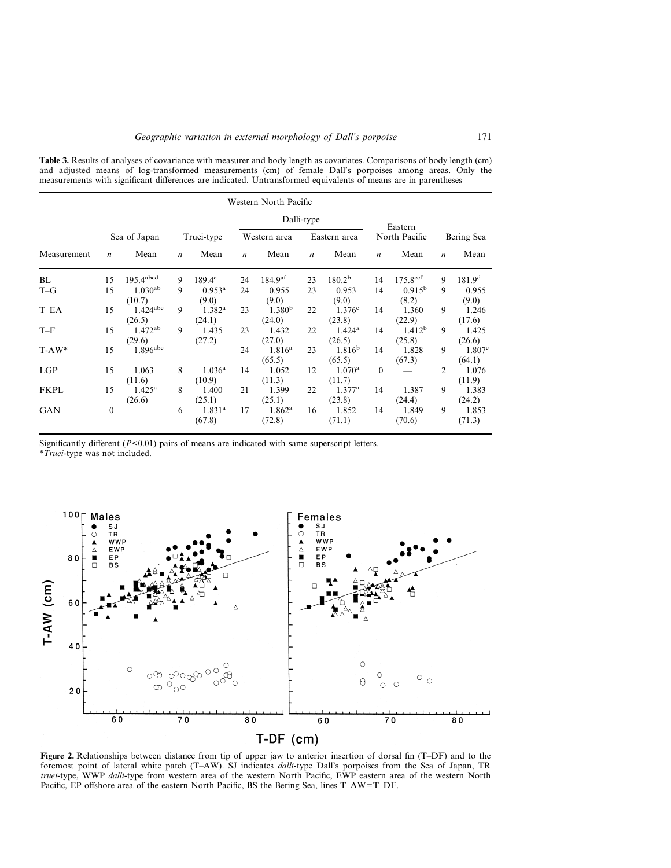**Table 3.** Results of analyses of covariance with measurer and body length as covariates. Comparisons of body length (cm) and adjusted means of log-transformed measurements (cm) of female Dall's porpoises among areas. Only the measurements with significant differences are indicated. Untransformed equivalents of means are in parentheses

|             |                  |                                  | Western North Pacific |                              |                  |                              |                  |                              |                  |                              |                  |                              |
|-------------|------------------|----------------------------------|-----------------------|------------------------------|------------------|------------------------------|------------------|------------------------------|------------------|------------------------------|------------------|------------------------------|
|             |                  |                                  |                       | Dalli-type                   |                  |                              |                  |                              |                  | Eastern                      |                  |                              |
|             | Sea of Japan     |                                  | Truei-type            |                              | Western area     |                              | Eastern area     |                              | North Pacific    |                              | Bering Sea       |                              |
| Measurement | $\boldsymbol{n}$ | Mean                             | $\boldsymbol{n}$      | Mean                         | $\boldsymbol{n}$ | Mean                         | $\boldsymbol{n}$ | Mean                         | $\boldsymbol{n}$ | Mean                         | $\boldsymbol{n}$ | Mean                         |
| BL          | 15               | $195.4$ <sup>abcd</sup>          | 9                     | $189.4^{\circ}$              | 24               | 184.9 <sup>af</sup>          | 23               | 180.2 <sup>b</sup>           | 14               | 175.8 <sup>cef</sup>         | 9                | 181.9 <sup>d</sup>           |
| $T-G$       | 15               | $1.030^{ab}$<br>(10.7)           | 9                     | $0.953^{\rm a}$<br>(9.0)     | 24               | 0.955<br>(9.0)               | 23               | 0.953<br>(9.0)               | 14               | $0.915^{b}$<br>(8.2)         | 9                | 0.955<br>(9.0)               |
| $T$ –EA     | 15               | $1.424$ <sup>abc</sup><br>(26.5) | 9                     | $1.382^{a}$<br>(24.1)        | 23               | 1.380 <sup>b</sup><br>(24.0) | 22               | $1.376^{\circ}$<br>(23.8)    | 14               | 1.360<br>(22.9)              | 9                | 1.246<br>(17.6)              |
| $T-F$       | 15               | $1.472^{ab}$<br>(29.6)           | 9                     | 1.435<br>(27.2)              | 23               | 1.432<br>(27.0)              | 22               | $1.424^{\rm a}$<br>(26.5)    | 14               | 1.412 <sup>b</sup><br>(25.8) | 9                | 1.425<br>(26.6)              |
| $T-AW^*$    | 15               | $1.896$ <sup>abc</sup>           |                       |                              | 24               | $1.816^{\rm a}$<br>(65.5)    | 23               | 1.816 <sup>b</sup><br>(65.5) | 14               | 1.828<br>(67.3)              | 9                | 1.807 <sup>c</sup><br>(64.1) |
| LGP         | 15               | 1.063<br>(11.6)                  | 8                     | $1.036^{\rm a}$<br>(10.9)    | 14               | 1.052<br>(11.3)              | 12               | $1.070^{\rm a}$<br>(11.7)    | $\theta$         |                              | 2                | 1.076<br>(11.9)              |
| <b>FKPL</b> | 15               | $1.425^{\rm a}$<br>(26.6)        | 8                     | 1.400<br>(25.1)              | 21               | 1.399<br>(25.1)              | 22               | $1.377^{\rm a}$<br>(23.8)    | 14               | 1.387<br>(24.4)              | 9                | 1.383<br>(24.2)              |
| <b>GAN</b>  | $\mathbf{0}$     |                                  | 6                     | 1.831 <sup>a</sup><br>(67.8) | 17               | $1.862^{\rm a}$<br>(72.8)    | 16               | 1.852<br>(71.1)              | 14               | 1.849<br>(70.6)              | 9                | 1.853<br>(71.3)              |

Significantly different (*P*<0.01) pairs of means are indicated with same superscript letters.

\**Truei*-type was not included.



**Figure 2.** Relationships between distance from tip of upper jaw to anterior insertion of dorsal fin (T–DF) and to the foremost point of lateral white patch (T–AW). SJ indicates *dalli*-type Dall's porpoises from the Sea of Japan, TR *truei*-type, WWP *dalli*-type from western area of the western North Pacific, EWP eastern area of the western North Pacific, EP offshore area of the eastern North Pacific, BS the Bering Sea, lines T–AW=T–DF.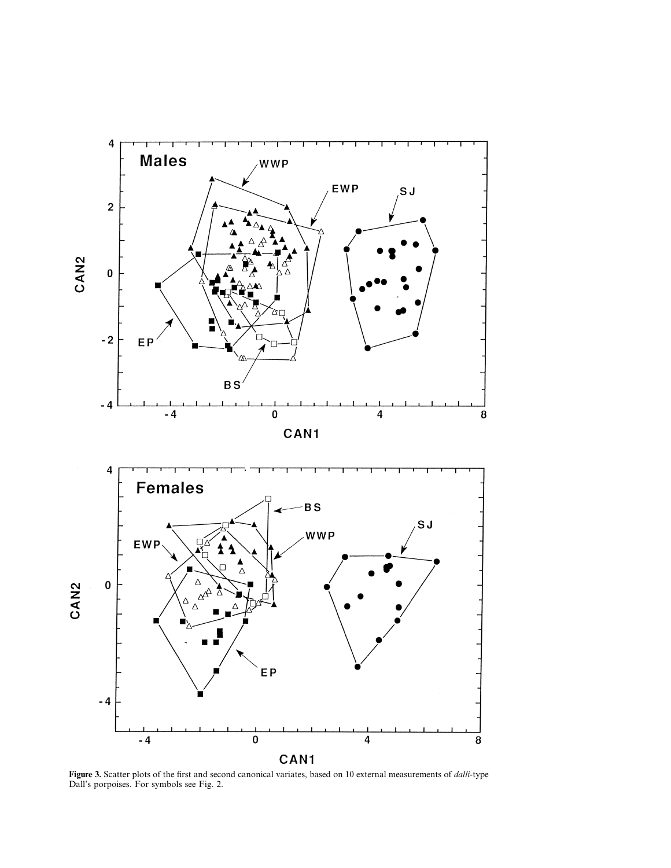

**Figure 3.** Scatter plots of the first and second canonical variates, based on 10 external measurements of *dalli*-type Dall's porpoises. For symbols see Fig. 2.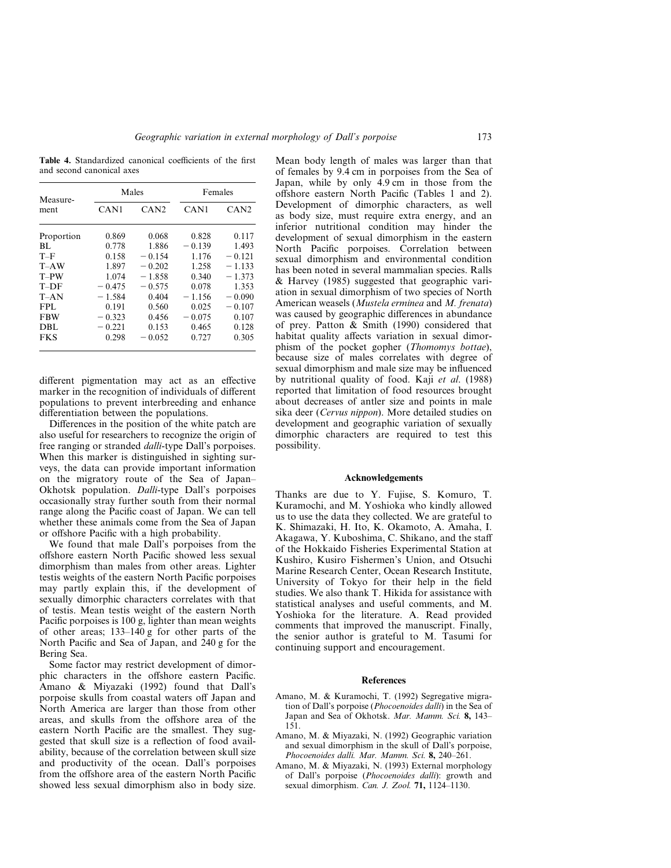**Table 4.** Standardized canonical coefficients of the first and second canonical axes

| Measure-   |          | Males    | Females  |                  |  |  |  |  |
|------------|----------|----------|----------|------------------|--|--|--|--|
| ment       | CAN1     | CAN2     | CAN1     | CAN <sub>2</sub> |  |  |  |  |
| Proportion | 0.869    | 0.068    | 0.828    | 0.117            |  |  |  |  |
| BL.        | 0.778    | 1.886    | $-0.139$ | 1.493            |  |  |  |  |
| T–F        | 0.158    | $-0.154$ | 1.176    | $-0.121$         |  |  |  |  |
| $T - AW$   | 1.897    | $-0.202$ | 1.258    | $-1.133$         |  |  |  |  |
| $T-PW$     | 1.074    | $-1.858$ | 0.340    | $-1.373$         |  |  |  |  |
| T-DF       | $-0.475$ | $-0.575$ | 0.078    | 1.353            |  |  |  |  |
| $T - AN$   | $-1.584$ | 0.404    | $-1.156$ | $-0.090$         |  |  |  |  |
| FPL.       | 0.191    | 0.560    | 0.025    | $-0.107$         |  |  |  |  |
| <b>FBW</b> | $-0.323$ | 0.456    | $-0.075$ | 0.107            |  |  |  |  |
| DBL        | $-0.221$ | 0.153    | 0.465    | 0.128            |  |  |  |  |
| <b>FKS</b> | 0.298    | $-0.052$ | 0.727    | 0.305            |  |  |  |  |

different pigmentation may act as an effective marker in the recognition of individuals of different populations to prevent interbreeding and enhance differentiation between the populations.

Differences in the position of the white patch are also useful for researchers to recognize the origin of free ranging or stranded *dalli*-type Dall's porpoises. When this marker is distinguished in sighting surveys, the data can provide important information on the migratory route of the Sea of Japan– Okhotsk population. *Dalli*-type Dall's porpoises occasionally stray further south from their normal range along the Pacific coast of Japan. We can tell whether these animals come from the Sea of Japan or offshore Pacific with a high probability.

We found that male Dall's porpoises from the offshore eastern North Pacific showed less sexual dimorphism than males from other areas. Lighter testis weights of the eastern North Pacific porpoises may partly explain this, if the development of sexually dimorphic characters correlates with that of testis. Mean testis weight of the eastern North Pacific porpoises is 100 g, lighter than mean weights of other areas; 133–140 g for other parts of the North Pacific and Sea of Japan, and 240 g for the Bering Sea.

Some factor may restrict development of dimorphic characters in the offshore eastern Pacific. Amano & Miyazaki (1992) found that Dall's porpoise skulls from coastal waters off Japan and North America are larger than those from other areas, and skulls from the offshore area of the eastern North Pacific are the smallest. They suggested that skull size is a reflection of food availability, because of the correlation between skull size and productivity of the ocean. Dall's porpoises from the offshore area of the eastern North Pacific showed less sexual dimorphism also in body size. Mean body length of males was larger than that of females by 9.4 cm in porpoises from the Sea of Japan, while by only 4.9 cm in those from the offshore eastern North Pacific (Tables 1 and 2). Development of dimorphic characters, as well as body size, must require extra energy, and an inferior nutritional condition may hinder the development of sexual dimorphism in the eastern North Pacific porpoises. Correlation between sexual dimorphism and environmental condition has been noted in several mammalian species. Ralls & Harvey (1985) suggested that geographic variation in sexual dimorphism of two species of North American weasels (*Mustela erminea* and *M. frenata*) was caused by geographic differences in abundance of prey. Patton & Smith (1990) considered that habitat quality affects variation in sexual dimorphism of the pocket gopher (*Thomomys bottae*), because size of males correlates with degree of sexual dimorphism and male size may be influenced by nutritional quality of food. Kaji *et al*. (1988) reported that limitation of food resources brought about decreases of antler size and points in male sika deer (*Cervus nippon*). More detailed studies on development and geographic variation of sexually dimorphic characters are required to test this possibility.

#### **Acknowledgements**

Thanks are due to Y. Fujise, S. Komuro, T. Kuramochi, and M. Yoshioka who kindly allowed us to use the data they collected. We are grateful to K. Shimazaki, H. Ito, K. Okamoto, A. Amaha, I. Akagawa, Y. Kuboshima, C. Shikano, and the staff of the Hokkaido Fisheries Experimental Station at Kushiro, Kusiro Fishermen's Union, and Otsuchi Marine Research Center, Ocean Research Institute, University of Tokyo for their help in the field studies. We also thank T. Hikida for assistance with statistical analyses and useful comments, and M. Yoshioka for the literature. A. Read provided comments that improved the manuscript. Finally, the senior author is grateful to M. Tasumi for continuing support and encouragement.

#### **References**

- Amano, M. & Kuramochi, T. (1992) Segregative migration of Dall's porpoise (*Phocoenoides dalli*) in the Sea of Japan and Sea of Okhotsk. *Mar. Mamm. Sci.* **8,** 143– 151.
- Amano, M. & Miyazaki, N. (1992) Geographic variation and sexual dimorphism in the skull of Dall's porpoise, *Phocoenoides dalli. Mar. Mamm. Sci.* **8,** 240–261.
- Amano, M. & Miyazaki, N. (1993) External morphology of Dall's porpoise (*Phocoenoides dalli*): growth and sexual dimorphism. *Can. J. Zool.* **71,** 1124–1130.